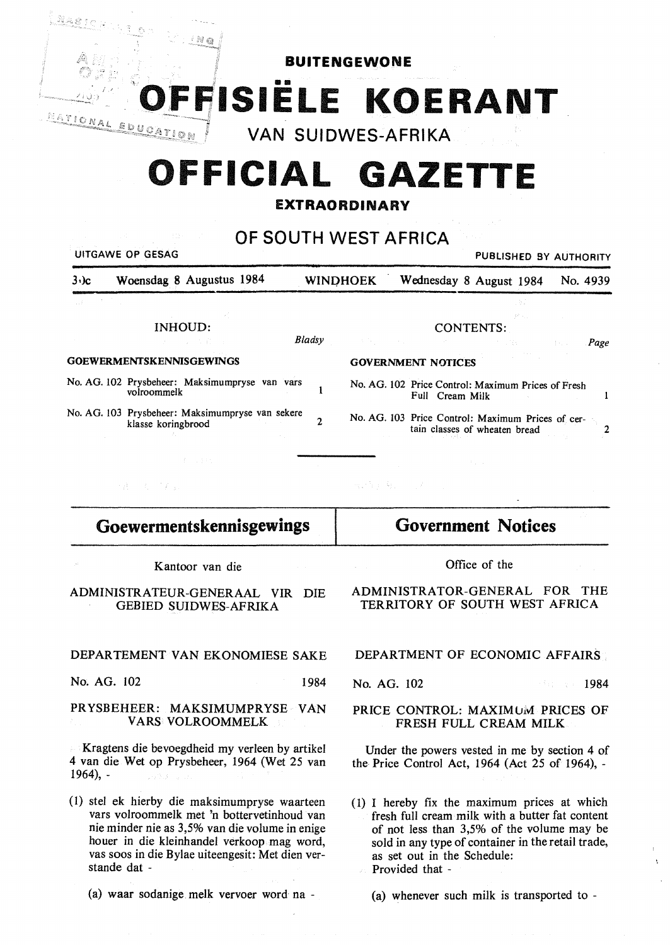

**INSIELE KOERANT** 

" **VAN SUIDWES-AFRIKA** 

# **0 FICIAL GAZETTE**

**EXTRAORDINARY** 

**OF SOUTH WEST AFRICA** 

|                              | UITGAWE OP GESAG                                                       |              |                                                                                                                |                  | PUBLISHED BY AUTHORITY        |       |          |
|------------------------------|------------------------------------------------------------------------|--------------|----------------------------------------------------------------------------------------------------------------|------------------|-------------------------------|-------|----------|
| $3·$ ) $c$                   | Woensdag 8 Augustus 1984                                               |              | <b>WINDHOEK</b>                                                                                                |                  | Wednesday 8 August 1984       |       | No. 4939 |
| $\mathcal{L}(\mathcal{L})$ . |                                                                        |              |                                                                                                                |                  |                               |       |          |
|                              | n and<br>INHOUD:                                                       |              |                                                                                                                | <b>CONTENTS:</b> |                               | 美術 新品 |          |
|                              | しょうしょう 大学的な人                                                           | Bladsy       | (2) 其他, 2000年, 2000年, 2000年, 2000年, 2000年, 2000年, 2000年, 2000年, 2000年, 2000年, 2000年, 2000年, 2000年, 2000年, 2000 |                  |                               |       | Page     |
|                              | <b>GOEWERMENTSKENNISGEWINGS</b>                                        |              | <b>GOVERNMENT NOTICES</b>                                                                                      |                  |                               |       |          |
|                              | No. AG. 102 Prysbeheer: Maksimumpryse van vars<br>volroommelk          |              | No. AG. 102 Price Control: Maximum Prices of Fresh                                                             | Full Cream Milk  |                               |       |          |
|                              | No. AG. 103 Prysbeheer: Maksimumpryse van sekere<br>klasse koringbrood | $\mathbf{2}$ | No. AG. 103 Price Control: Maximum Prices of cer-                                                              |                  | tain classes of wheaten bread |       |          |
|                              | (チール手机)                                                                |              |                                                                                                                |                  |                               |       |          |
|                              | · 唐 - 《 石戸子山』                                                          |              | 一般の解決 海上 バールオーバー アール                                                                                           |                  |                               |       |          |
|                              |                                                                        |              |                                                                                                                |                  |                               |       |          |

| Goewermentskennisgewings | <b>Government Notices</b> |
|--------------------------|---------------------------|
|                          |                           |

Kantoor van die

 $^{\prime}$  N  $_{\odot}$ 

ADMINISTRATEUR-GENERAAL VIR DIE GEBIED SUIDWES-AFRIKA

DEPARTEMENT VAN EKONOMIESE SAKE

No. AG. 102 1984

PRYSBEHEER: MAKSIMUMPRYSE VAN VARS VOLROOMMELK

Kragtens die bevoegdheid my verleen by artikel 4 van die Wet op Prysbeheer, 1964 (Wet 25 van 1964), -

- (I) stel ek hierby die maksimumpryse waarteen vars volroommelk met 'n bottervetinhoud van nie minder nie as 3,5% van die volume in enige houer in die kleinhandel verkoop mag word, vas soos in die Bylae uiteengesit: Met dien verstande dat -
	- (a) waar sodanige melk vervoer word· na -

Office of the

ADMINISTRATOR-GENERAL FOR THE TERRITORY OF SOUTH WEST AFRICA

DEPARTMENT OF ECONOMIC AFFAIRS

No. AG. 102 1984

## PRICE CONTROL: MAXIMUM PRICES OF **FRESH** FULL **CREAM MILK**

Under the powers vested in me by section 4 of the Price Control Act, 1964 (Act 25 of 1964), -

( 1) I hereby fix the maximum prices at which fresh full cream milk with a butter fat content of not less than 3,5% of the volume may be sold in any type of container in the retail trade, as set out in the Schedule: Provided that -

(a) whenever such milk is transported to -

À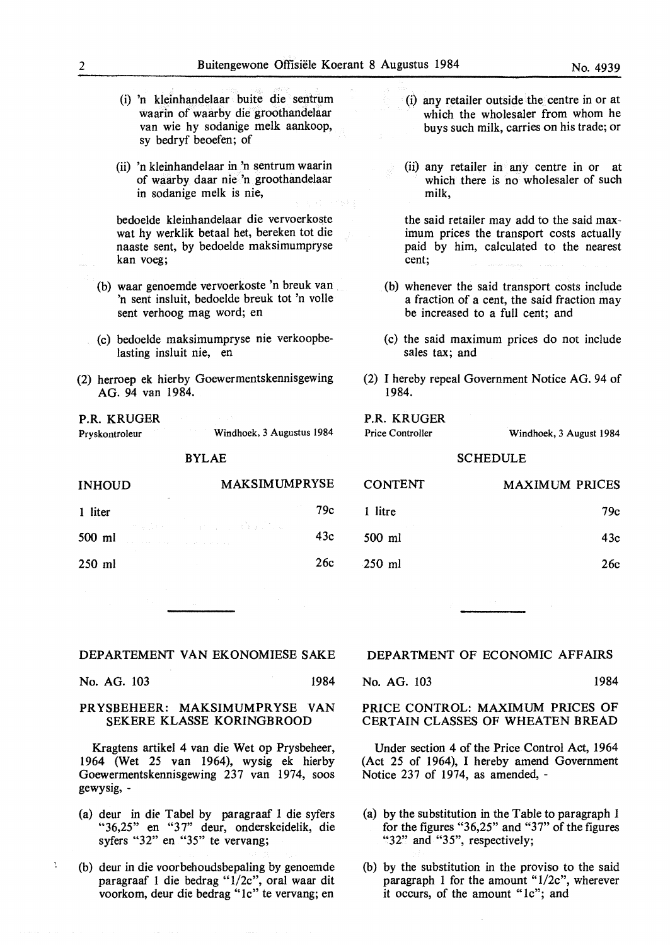- (i) 'n kleinhandelaar buite die sentrum waarin of waarby die groothandelaar van wie hy sodanige melk aankoop, sy bedryf beoefen; of
- (ii) 'n kleinhandelaar in 'n sentrum waarin of waarby daar nie 'n groothandelaar in sodanige melk is nie,

bedoelde kleinhandelaar die vervoerkoste wat hy werklik betaal het, bereken tot die naaste sent, by bedoelde maksimumpryse kan voeg;

- (b) waar genoemde vervoerkoste 'n breuk van 'n sent insluit, bedoelde breuk tot 'n volle sent verhoog mag word; en
- (c) bedoelde maksimumpryse nie verkoopbelasting insluit nie, en
- (2) herroep ek hierby Goewermentskennisgewing AG. 94 van 1984.

P.R. KRUGER Pryskontroleur

Ą

Windhoek, 3 Augustus 1984

BYLAE

| <b>INHOUD</b> |              | <b>MAKSIMUMPRYSE</b>                                                                   |     |  |
|---------------|--------------|----------------------------------------------------------------------------------------|-----|--|
| 1 liter       | $\mathbf{a}$ |                                                                                        | 79c |  |
| 500 ml        |              | we do not a company of the com-<br>and the second company of the second company of the | 43c |  |
| $250$ ml      |              |                                                                                        | 26c |  |

- (i) any retailer outside the centre in or at which the wholesaler from whom he buys such milk, carries on his trade; or
- (ii) any retailer in any centre in or at which there is no wholesaler of such milk,

the said retailer may add to the said maximum prices the transport costs actually paid by him, calculated to the nearest cent;

- (b) whenever the said transport costs include a fraction of a cent, the said fraction may be increased to a full cent; and
- (c) the said maximum prices do not include sales tax; and
- (2) I hereby repeal Government Notice AG. 94 of 1984.

#### P.R. KRUGER Price Controller

Windhoek, 3 August 1984

## SCHEDULE

| <b>CONTENT</b> | <b>MAXIMUM PRICES</b> |
|----------------|-----------------------|
| 1 litre        | 79с                   |
| 500 ml         | 43c                   |
| $-250$ ml      | 26с                   |

#### DEPARTEMENT VAN EKONOMIESE SAKE

No. AG. 103 1984

## PR YSBEHEER: MAKSIMUMPR YSE VAN SEKERE KLASSE KORINGBROOD

Kragtens artikel 4 van die Wet op Prysbeheer, 1964 (Wet 25 van 1964), wysig ek hierby Goewermentskennisgewing 237 van 1974, soos gewysig, -

- (a) deur in die Tabet by paragraaf 1 die syfers "36,25" en "3 7" deur, onderskeidelik, die syfers "32" en "35" te vervang;
- (b) deur in die voorbehoudsbepaling by genoemde paragraaf 1 die bedrag "1/2c", oral waar dit voorkom, deur die bedrag "le" te vervang; en

#### **DEPARTMENT OF ECONOMIC AFFAIRS**

No. AG. 103 1984

PRICE CONTROL: MAXIMUM PRICES OF CERTAIN CLASSES OF WHEATEN BREAD

Under section 4 of the Price Control Act, 1964 (Act 25 of 1964), I hereby amend Government Notice 237 of 1974, as amended, -

- (a) by the substitution in the Table to paragraph 1 for the figures " $36,25$ " and " $37$ " of the figures "32" and "35", respectively;
- (b) by the substitution in the proviso to the said paragraph 1 for the amount "1/2c", wherever it occurs, of the amount "le"; and